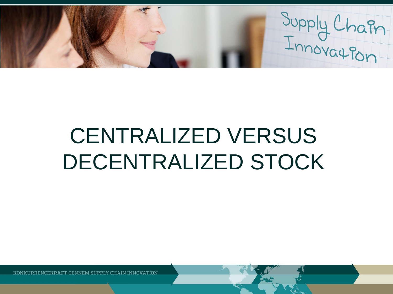Supply Chain

# CENTRALIZED VERSUS DECENTRALIZED STOCK

GENNEM SUPPLY CHAIN INNOVATION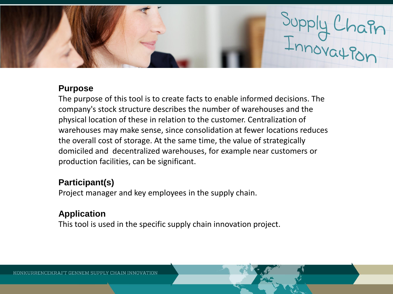

### **Purpose**

The purpose of this tool is to create facts to enable informed decisions. The company's stock structure describes the number of warehouses and the physical location of these in relation to the customer. Centralization of warehouses may make sense, since consolidation at fewer locations reduces the overall cost of storage. At the same time, the value of strategically domiciled and decentralized warehouses, for example near customers or production facilities, can be significant.

## **Participant(s)**

Project manager and key employees in the supply chain.

# **Application**

This tool is used in the specific supply chain innovation project.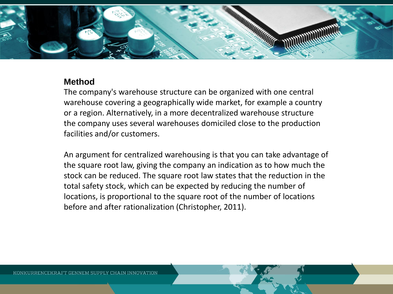

### **Method**

The company's warehouse structure can be organized with one central warehouse covering a geographically wide market, for example a country or a region. Alternatively, in a more decentralized warehouse structure the company uses several warehouses domiciled close to the production facilities and/or customers.

An argument for centralized warehousing is that you can take advantage of the square root law, giving the company an indication as to how much the stock can be reduced. The square root law states that the reduction in the total safety stock, which can be expected by reducing the number of locations, is proportional to the square root of the number of locations before and after rationalization (Christopher, 2011).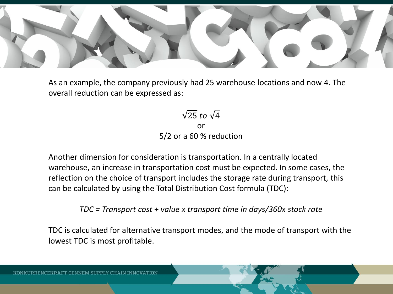

As an example, the company previously had 25 warehouse locations and now 4. The overall reduction can be expressed as:

> $\sqrt{25}$  to  $\sqrt{4}$ or 5/2 or a 60 % reduction

Another dimension for consideration is transportation. In a centrally located warehouse, an increase in transportation cost must be expected. In some cases, the reflection on the choice of transport includes the storage rate during transport, this can be calculated by using the Total Distribution Cost formula (TDC):

*TDC = Transport cost + value x transport time in days/360x stock rate* 

TDC is calculated for alternative transport modes, and the mode of transport with the lowest TDC is most profitable.